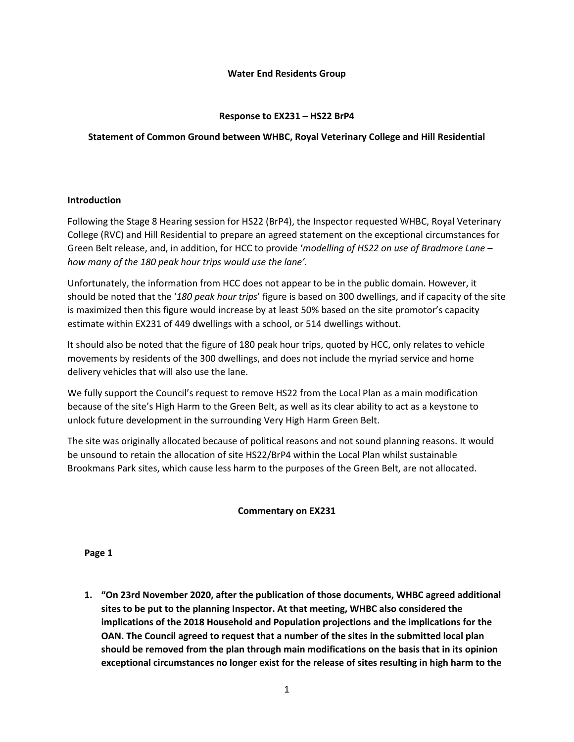# **Water End Residents Group**

# **Response to EX231 – HS22 BrP4**

# **Statement of Common Ground between WHBC, Royal Veterinary College and Hill Residential**

### **Introduction**

Following the Stage 8 Hearing session for HS22 (BrP4), the Inspector requested WHBC, Royal Veterinary College (RVC) and Hill Residential to prepare an agreed statement on the exceptional circumstances for Green Belt release, and, in addition, for HCC to provide '*modelling of HS22 on use of Bradmore Lane – how many of the 180 peak hour trips would use the lane'.*

Unfortunately, the information from HCC does not appear to be in the public domain. However, it should be noted that the '*180 peak hour trips*' figure is based on 300 dwellings, and if capacity of the site is maximized then this figure would increase by at least 50% based on the site promotor's capacity estimate within EX231 of 449 dwellings with a school, or 514 dwellings without.

It should also be noted that the figure of 180 peak hour trips, quoted by HCC, only relates to vehicle movements by residents of the 300 dwellings, and does not include the myriad service and home delivery vehicles that will also use the lane.

We fully support the Council's request to remove HS22 from the Local Plan as a main modification because of the site's High Harm to the Green Belt, as well as its clear ability to act as a keystone to unlock future development in the surrounding Very High Harm Green Belt.

The site was originally allocated because of political reasons and not sound planning reasons. It would be unsound to retain the allocation of site HS22/BrP4 within the Local Plan whilst sustainable Brookmans Park sites, which cause less harm to the purposes of the Green Belt, are not allocated.

# **Commentary on EX231**

**Page 1**

**1. "On 23rd November 2020, after the publication of those documents, WHBC agreed additional sites to be put to the planning Inspector. At that meeting, WHBC also considered the implications of the 2018 Household and Population projections and the implications for the OAN. The Council agreed to request that a number of the sites in the submitted local plan should be removed from the plan through main modifications on the basis that in its opinion exceptional circumstances no longer exist for the release of sites resulting in high harm to the**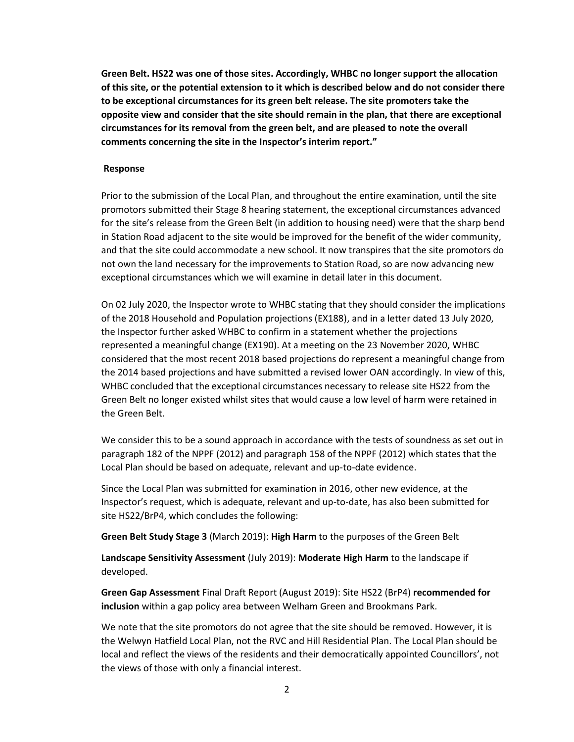**Green Belt. HS22 was one of those sites. Accordingly, WHBC no longer support the allocation of this site, or the potential extension to it which is described below and do not consider there to be exceptional circumstances for its green belt release. The site promoters take the opposite view and consider that the site should remain in the plan, that there are exceptional circumstances for its removal from the green belt, and are pleased to note the overall comments concerning the site in the Inspector's interim report."**

#### **Response**

Prior to the submission of the Local Plan, and throughout the entire examination, until the site promotors submitted their Stage 8 hearing statement, the exceptional circumstances advanced for the site's release from the Green Belt (in addition to housing need) were that the sharp bend in Station Road adjacent to the site would be improved for the benefit of the wider community, and that the site could accommodate a new school. It now transpires that the site promotors do not own the land necessary for the improvements to Station Road, so are now advancing new exceptional circumstances which we will examine in detail later in this document.

On 02 July 2020, the Inspector wrote to WHBC stating that they should consider the implications of the 2018 Household and Population projections (EX188), and in a letter dated 13 July 2020, the Inspector further asked WHBC to confirm in a statement whether the projections represented a meaningful change (EX190). At a meeting on the 23 November 2020, WHBC considered that the most recent 2018 based projections do represent a meaningful change from the 2014 based projections and have submitted a revised lower OAN accordingly. In view of this, WHBC concluded that the exceptional circumstances necessary to release site HS22 from the Green Belt no longer existed whilst sites that would cause a low level of harm were retained in the Green Belt.

We consider this to be a sound approach in accordance with the tests of soundness as set out in paragraph 182 of the NPPF (2012) and paragraph 158 of the NPPF (2012) which states that the Local Plan should be based on adequate, relevant and up-to-date evidence.

Since the Local Plan was submitted for examination in 2016, other new evidence, at the Inspector's request, which is adequate, relevant and up-to-date, has also been submitted for site HS22/BrP4, which concludes the following:

**Green Belt Study Stage 3** (March 2019): **High Harm** to the purposes of the Green Belt

**Landscape Sensitivity Assessment** (July 2019): **Moderate High Harm** to the landscape if developed.

**Green Gap Assessment** Final Draft Report (August 2019): Site HS22 (BrP4) **recommended for inclusion** within a gap policy area between Welham Green and Brookmans Park.

We note that the site promotors do not agree that the site should be removed. However, it is the Welwyn Hatfield Local Plan, not the RVC and Hill Residential Plan. The Local Plan should be local and reflect the views of the residents and their democratically appointed Councillors', not the views of those with only a financial interest.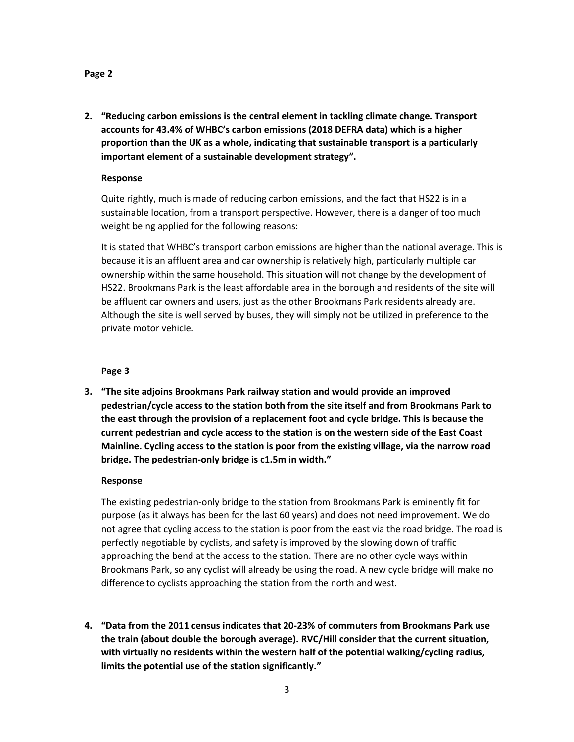#### **Page 2**

**2. "Reducing carbon emissions is the central element in tackling climate change. Transport accounts for 43.4% of WHBC's carbon emissions (2018 DEFRA data) which is a higher proportion than the UK as a whole, indicating that sustainable transport is a particularly important element of a sustainable development strategy".**

### **Response**

Quite rightly, much is made of reducing carbon emissions, and the fact that HS22 is in a sustainable location, from a transport perspective. However, there is a danger of too much weight being applied for the following reasons:

It is stated that WHBC's transport carbon emissions are higher than the national average. This is because it is an affluent area and car ownership is relatively high, particularly multiple car ownership within the same household. This situation will not change by the development of HS22. Brookmans Park is the least affordable area in the borough and residents of the site will be affluent car owners and users, just as the other Brookmans Park residents already are. Although the site is well served by buses, they will simply not be utilized in preference to the private motor vehicle.

### **Page 3**

**3. "The site adjoins Brookmans Park railway station and would provide an improved pedestrian/cycle access to the station both from the site itself and from Brookmans Park to the east through the provision of a replacement foot and cycle bridge. This is because the current pedestrian and cycle access to the station is on the western side of the East Coast Mainline. Cycling access to the station is poor from the existing village, via the narrow road bridge. The pedestrian-only bridge is c1.5m in width."**

#### **Response**

The existing pedestrian-only bridge to the station from Brookmans Park is eminently fit for purpose (as it always has been for the last 60 years) and does not need improvement. We do not agree that cycling access to the station is poor from the east via the road bridge. The road is perfectly negotiable by cyclists, and safety is improved by the slowing down of traffic approaching the bend at the access to the station. There are no other cycle ways within Brookmans Park, so any cyclist will already be using the road. A new cycle bridge will make no difference to cyclists approaching the station from the north and west.

**4. "Data from the 2011 census indicates that 20-23% of commuters from Brookmans Park use the train (about double the borough average). RVC/Hill consider that the current situation, with virtually no residents within the western half of the potential walking/cycling radius, limits the potential use of the station significantly."**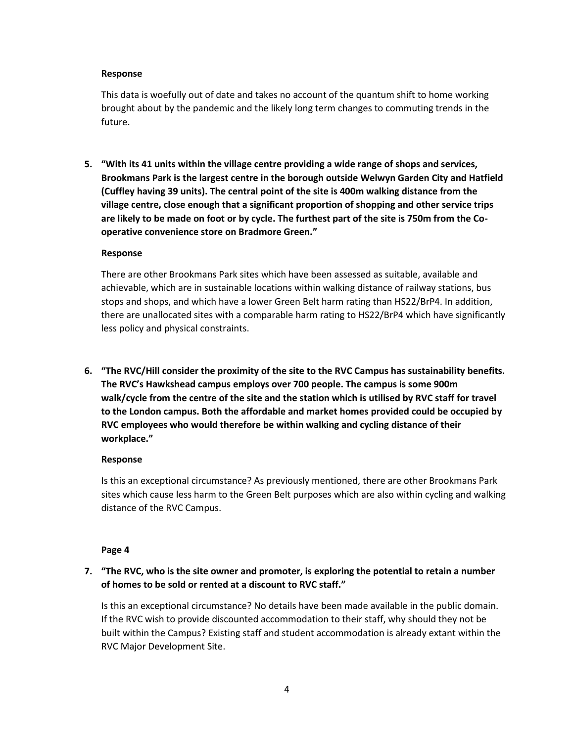### **Response**

This data is woefully out of date and takes no account of the quantum shift to home working brought about by the pandemic and the likely long term changes to commuting trends in the future.

**5. "With its 41 units within the village centre providing a wide range of shops and services, Brookmans Park is the largest centre in the borough outside Welwyn Garden City and Hatfield (Cuffley having 39 units). The central point of the site is 400m walking distance from the village centre, close enough that a significant proportion of shopping and other service trips are likely to be made on foot or by cycle. The furthest part of the site is 750m from the Cooperative convenience store on Bradmore Green."**

### **Response**

There are other Brookmans Park sites which have been assessed as suitable, available and achievable, which are in sustainable locations within walking distance of railway stations, bus stops and shops, and which have a lower Green Belt harm rating than HS22/BrP4. In addition, there are unallocated sites with a comparable harm rating to HS22/BrP4 which have significantly less policy and physical constraints.

**6. "The RVC/Hill consider the proximity of the site to the RVC Campus has sustainability benefits. The RVC's Hawkshead campus employs over 700 people. The campus is some 900m walk/cycle from the centre of the site and the station which is utilised by RVC staff for travel to the London campus. Both the affordable and market homes provided could be occupied by RVC employees who would therefore be within walking and cycling distance of their workplace."**

# **Response**

Is this an exceptional circumstance? As previously mentioned, there are other Brookmans Park sites which cause less harm to the Green Belt purposes which are also within cycling and walking distance of the RVC Campus.

# **Page 4**

# **7. "The RVC, who is the site owner and promoter, is exploring the potential to retain a number of homes to be sold or rented at a discount to RVC staff."**

Is this an exceptional circumstance? No details have been made available in the public domain. If the RVC wish to provide discounted accommodation to their staff, why should they not be built within the Campus? Existing staff and student accommodation is already extant within the RVC Major Development Site.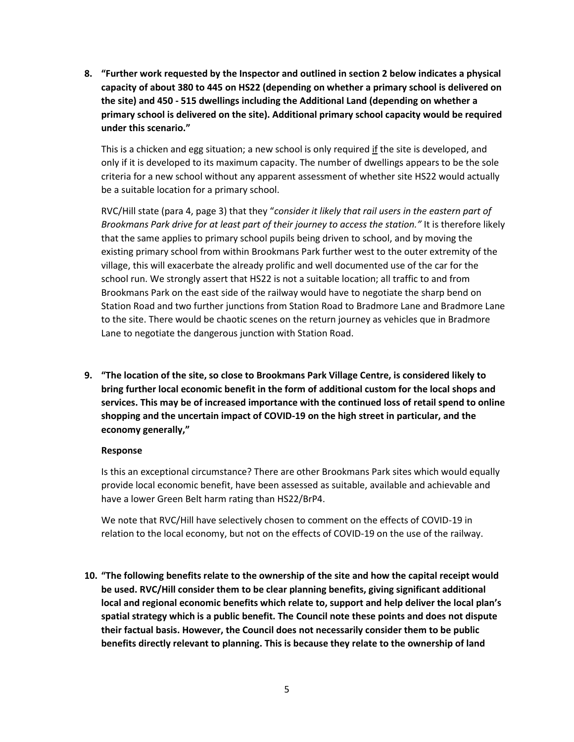**8. "Further work requested by the Inspector and outlined in section 2 below indicates a physical capacity of about 380 to 445 on HS22 (depending on whether a primary school is delivered on the site) and 450 - 515 dwellings including the Additional Land (depending on whether a primary school is delivered on the site). Additional primary school capacity would be required under this scenario."**

This is a chicken and egg situation; a new school is only required if the site is developed, and only if it is developed to its maximum capacity. The number of dwellings appears to be the sole criteria for a new school without any apparent assessment of whether site HS22 would actually be a suitable location for a primary school.

RVC/Hill state (para 4, page 3) that they "*consider it likely that rail users in the eastern part of Brookmans Park drive for at least part of their journey to access the station."* It is therefore likely that the same applies to primary school pupils being driven to school, and by moving the existing primary school from within Brookmans Park further west to the outer extremity of the village, this will exacerbate the already prolific and well documented use of the car for the school run. We strongly assert that HS22 is not a suitable location; all traffic to and from Brookmans Park on the east side of the railway would have to negotiate the sharp bend on Station Road and two further junctions from Station Road to Bradmore Lane and Bradmore Lane to the site. There would be chaotic scenes on the return journey as vehicles que in Bradmore Lane to negotiate the dangerous junction with Station Road.

**9. "The location of the site, so close to Brookmans Park Village Centre, is considered likely to bring further local economic benefit in the form of additional custom for the local shops and services. This may be of increased importance with the continued loss of retail spend to online shopping and the uncertain impact of COVID-19 on the high street in particular, and the economy generally,"**

#### **Response**

Is this an exceptional circumstance? There are other Brookmans Park sites which would equally provide local economic benefit, have been assessed as suitable, available and achievable and have a lower Green Belt harm rating than HS22/BrP4.

We note that RVC/Hill have selectively chosen to comment on the effects of COVID-19 in relation to the local economy, but not on the effects of COVID-19 on the use of the railway.

**10. "The following benefits relate to the ownership of the site and how the capital receipt would be used. RVC/Hill consider them to be clear planning benefits, giving significant additional local and regional economic benefits which relate to, support and help deliver the local plan's spatial strategy which is a public benefit. The Council note these points and does not dispute their factual basis. However, the Council does not necessarily consider them to be public benefits directly relevant to planning. This is because they relate to the ownership of land**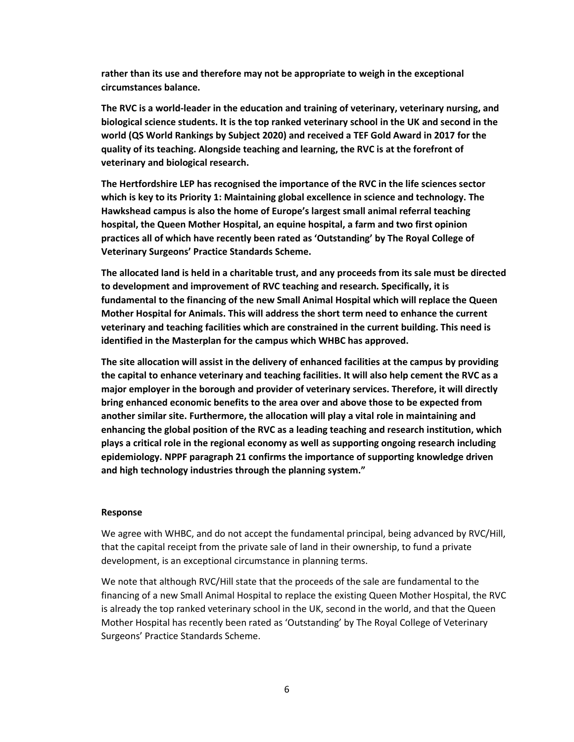**rather than its use and therefore may not be appropriate to weigh in the exceptional circumstances balance.** 

**The RVC is a world-leader in the education and training of veterinary, veterinary nursing, and biological science students. It is the top ranked veterinary school in the UK and second in the world (QS World Rankings by Subject 2020) and received a TEF Gold Award in 2017 for the quality of its teaching. Alongside teaching and learning, the RVC is at the forefront of veterinary and biological research.** 

**The Hertfordshire LEP has recognised the importance of the RVC in the life sciences sector which is key to its Priority 1: Maintaining global excellence in science and technology. The Hawkshead campus is also the home of Europe's largest small animal referral teaching hospital, the Queen Mother Hospital, an equine hospital, a farm and two first opinion practices all of which have recently been rated as 'Outstanding' by The Royal College of Veterinary Surgeons' Practice Standards Scheme.** 

**The allocated land is held in a charitable trust, and any proceeds from its sale must be directed to development and improvement of RVC teaching and research. Specifically, it is fundamental to the financing of the new Small Animal Hospital which will replace the Queen Mother Hospital for Animals. This will address the short term need to enhance the current veterinary and teaching facilities which are constrained in the current building. This need is identified in the Masterplan for the campus which WHBC has approved.** 

**The site allocation will assist in the delivery of enhanced facilities at the campus by providing the capital to enhance veterinary and teaching facilities. It will also help cement the RVC as a major employer in the borough and provider of veterinary services. Therefore, it will directly bring enhanced economic benefits to the area over and above those to be expected from another similar site. Furthermore, the allocation will play a vital role in maintaining and enhancing the global position of the RVC as a leading teaching and research institution, which plays a critical role in the regional economy as well as supporting ongoing research including epidemiology. NPPF paragraph 21 confirms the importance of supporting knowledge driven and high technology industries through the planning system."**

#### **Response**

We agree with WHBC, and do not accept the fundamental principal, being advanced by RVC/Hill, that the capital receipt from the private sale of land in their ownership, to fund a private development, is an exceptional circumstance in planning terms.

We note that although RVC/Hill state that the proceeds of the sale are fundamental to the financing of a new Small Animal Hospital to replace the existing Queen Mother Hospital, the RVC is already the top ranked veterinary school in the UK, second in the world, and that the Queen Mother Hospital has recently been rated as 'Outstanding' by The Royal College of Veterinary Surgeons' Practice Standards Scheme.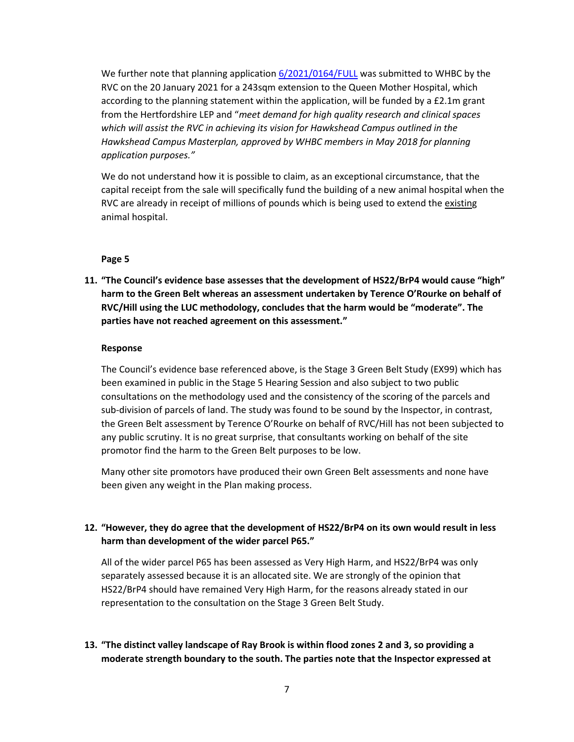We further note that planning application  $6/2021/0164/FULL$  was submitted to WHBC by the RVC on the 20 January 2021 for a 243sqm extension to the Queen Mother Hospital, which according to the planning statement within the application, will be funded by a £2.1m grant from the Hertfordshire LEP and "*meet demand for high quality research and clinical spaces which will assist the RVC in achieving its vision for Hawkshead Campus outlined in the Hawkshead Campus Masterplan, approved by WHBC members in May 2018 for planning application purposes."* 

We do not understand how it is possible to claim, as an exceptional circumstance, that the capital receipt from the sale will specifically fund the building of a new animal hospital when the RVC are already in receipt of millions of pounds which is being used to extend the existing animal hospital.

### **Page 5**

**11. "The Council's evidence base assesses that the development of HS22/BrP4 would cause "high" harm to the Green Belt whereas an assessment undertaken by Terence O'Rourke on behalf of RVC/Hill using the LUC methodology, concludes that the harm would be "moderate". The parties have not reached agreement on this assessment."**

#### **Response**

The Council's evidence base referenced above, is the Stage 3 Green Belt Study (EX99) which has been examined in public in the Stage 5 Hearing Session and also subject to two public consultations on the methodology used and the consistency of the scoring of the parcels and sub-division of parcels of land. The study was found to be sound by the Inspector, in contrast, the Green Belt assessment by Terence O'Rourke on behalf of RVC/Hill has not been subjected to any public scrutiny. It is no great surprise, that consultants working on behalf of the site promotor find the harm to the Green Belt purposes to be low.

Many other site promotors have produced their own Green Belt assessments and none have been given any weight in the Plan making process.

# **12. "However, they do agree that the development of HS22/BrP4 on its own would result in less harm than development of the wider parcel P65."**

All of the wider parcel P65 has been assessed as Very High Harm, and HS22/BrP4 was only separately assessed because it is an allocated site. We are strongly of the opinion that HS22/BrP4 should have remained Very High Harm, for the reasons already stated in our representation to the consultation on the Stage 3 Green Belt Study.

# **13. "The distinct valley landscape of Ray Brook is within flood zones 2 and 3, so providing a moderate strength boundary to the south. The parties note that the Inspector expressed at**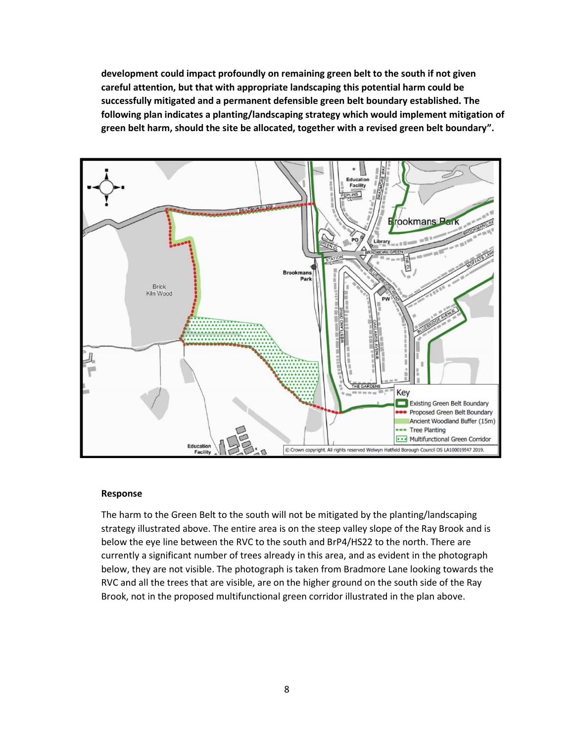**development could impact profoundly on remaining green belt to the south if not given careful attention, but that with appropriate landscaping this potential harm could be successfully mitigated and a permanent defensible green belt boundary established. The following plan indicates a planting/landscaping strategy which would implement mitigation of green belt harm, should the site be allocated, together with a revised green belt boundary".**



#### **Response**

The harm to the Green Belt to the south will not be mitigated by the planting/landscaping strategy illustrated above. The entire area is on the steep valley slope of the Ray Brook and is below the eye line between the RVC to the south and BrP4/HS22 to the north. There are currently a significant number of trees already in this area, and as evident in the photograph below, they are not visible. The photograph is taken from Bradmore Lane looking towards the RVC and all the trees that are visible, are on the higher ground on the south side of the Ray Brook, not in the proposed multifunctional green corridor illustrated in the plan above.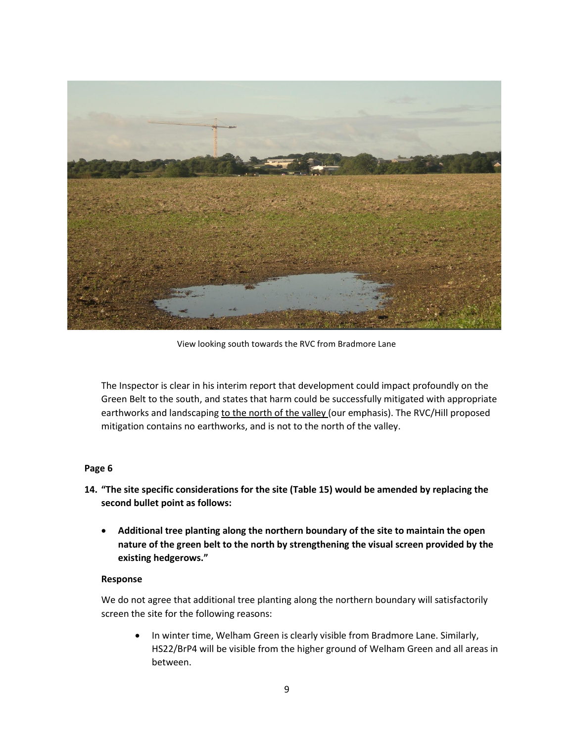

View looking south towards the RVC from Bradmore Lane

The Inspector is clear in his interim report that development could impact profoundly on the Green Belt to the south, and states that harm could be successfully mitigated with appropriate earthworks and landscaping to the north of the valley (our emphasis). The RVC/Hill proposed mitigation contains no earthworks, and is not to the north of the valley.

# **Page 6**

- **14. "The site specific considerations for the site (Table 15) would be amended by replacing the second bullet point as follows:**
	- **Additional tree planting along the northern boundary of the site to maintain the open nature of the green belt to the north by strengthening the visual screen provided by the existing hedgerows."**

#### **Response**

We do not agree that additional tree planting along the northern boundary will satisfactorily screen the site for the following reasons:

 In winter time, Welham Green is clearly visible from Bradmore Lane. Similarly, HS22/BrP4 will be visible from the higher ground of Welham Green and all areas in between.